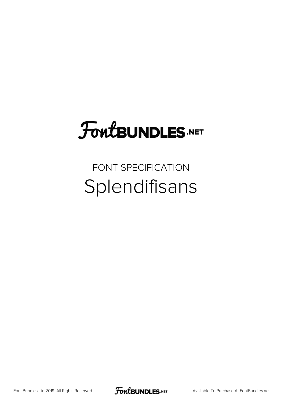## FoutBUNDLES.NET

#### FONT SPECIFICATION Splendifisans

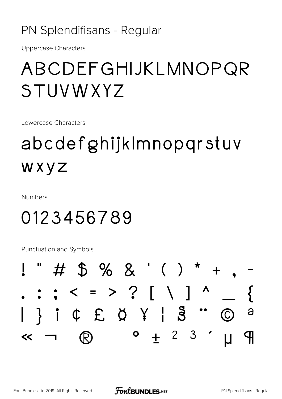#### PN Splendifisans - Regular

**Uppercase Characters** 

#### ABCDEFGHIJKLMNOPQR STUVWXYZ

Lowercase Characters

### abcdefghijkImnopgrstuv WXYZ

**Numbers** 

#### 0123456789

**Punctuation and Symbols** 

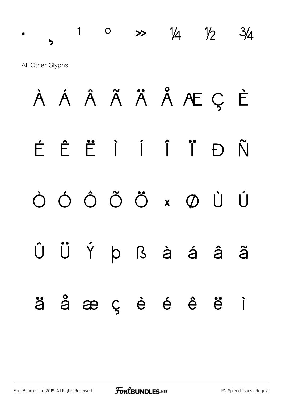# $\frac{1}{2}$  0  $\frac{1}{4}$   $\frac{1}{4}$   $\frac{1}{2}$   $\frac{3}{4}$ All Other Glyphs À Á Â Ã Ä Å Æ Ç È É Ê Ë Ì Í Î Ï Ð Ñ Ò Ó Ô Õ Ö × Ø Ù Ú Û Ü Ý Þ ß à á â ã ä å æ ç è é ê ë ì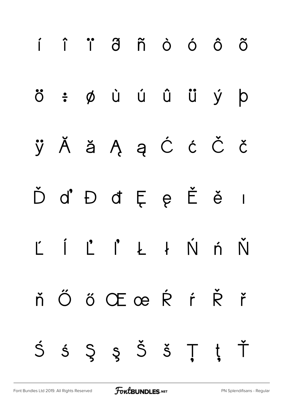

[Font Bundles Ltd 2019. All Rights Reserved](https://fontbundles.net/) **FoutBUNDLES.NET** [PN Splendifisans - Regular](https://fontbundles.net/)